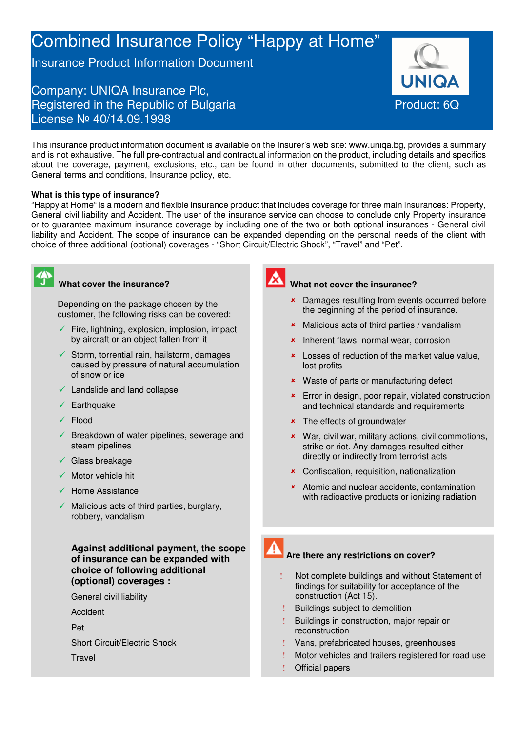# Combined Insurance Policy "Happy at Home"

Insurance Product Information Document

## Company: UNIQA Insurance Plc, Registered in the Republic of Bulgaria **Product: 6Q** License № 40/14.09.1998

This insurance product information document is available on the Insurer's web site: www.uniqa.bg, provides a summary and is not exhaustive. The full pre-contractual and contractual information on the product, including details and specifics about the coverage, payment, exclusions, etc., can be found in other documents, submitted to the client, such as General terms and conditions, Insurance policy, etc.

### **What is this type of insurance?**

"Happy at Home" is a modern and flexible insurance product that includes coverage for three main insurances: Property, General civil liability and Accident. The user of the insurance service can choose to conclude only Property insurance or to guarantee maximum insurance coverage by including one of the two or both optional insurances - General civil liability and Accident. The scope of insurance can be expanded depending on the personal needs of the client with choice of three additional (optional) coverages - "Short Circuit/Electric Shock", "Travel" and "Pet".

### **What cover the insurance?**

Depending on the package chosen by the customer, the following risks can be covered:

- Fire, lightning, explosion, implosion, impact by aircraft or an object fallen from it
- $\checkmark$  Storm, torrential rain, hailstorm, damages caused by pressure of natural accumulation of snow or ice
- $\checkmark$  Landslide and land collapse
- **Earthquake**
- Flood
- $\checkmark$  Breakdown of water pipelines, sewerage and steam pipelines
- $\checkmark$  Glass breakage
- Motor vehicle hit
- $\checkmark$  Home Assistance
- $\checkmark$  Malicious acts of third parties, burglary, robbery, vandalism

**Against additional payment, the scope of insurance can be expanded with choice of following additional (optional) coverages :** 

General civil liability

Accident

Pet

Short Circuit/Electric Shock

**Travel** 



### **What not cover the insurance?**

- **\*** Damages resulting from events occurred before the beginning of the period of insurance.
- **\*** Malicious acts of third parties / vandalism
- **\*** Inherent flaws, normal wear, corrosion
- **x** Losses of reduction of the market value value, lost profits
- **\*** Waste of parts or manufacturing defect
- **\*** Error in design, poor repair, violated construction and technical standards and requirements
- **\*** The effects of groundwater
- War, civil war, military actions, civil commotions, strike or riot. Any damages resulted either directly or indirectly from terrorist acts
- Confiscation, requisition, nationalization
- **\*** Atomic and nuclear accidents, contamination with radioactive products or ionizing radiation
- 

### **Are there any restrictions on cover?**

- Not complete buildings and without Statement of findings for suitability for acceptance of the construction (Act 15).
- ! Buildings subject to demolition
- ! Buildings in construction, major repair or reconstruction
- ! Vans, prefabricated houses, greenhouses
- ! Motor vehicles and trailers registered for road use
- ! Official papers